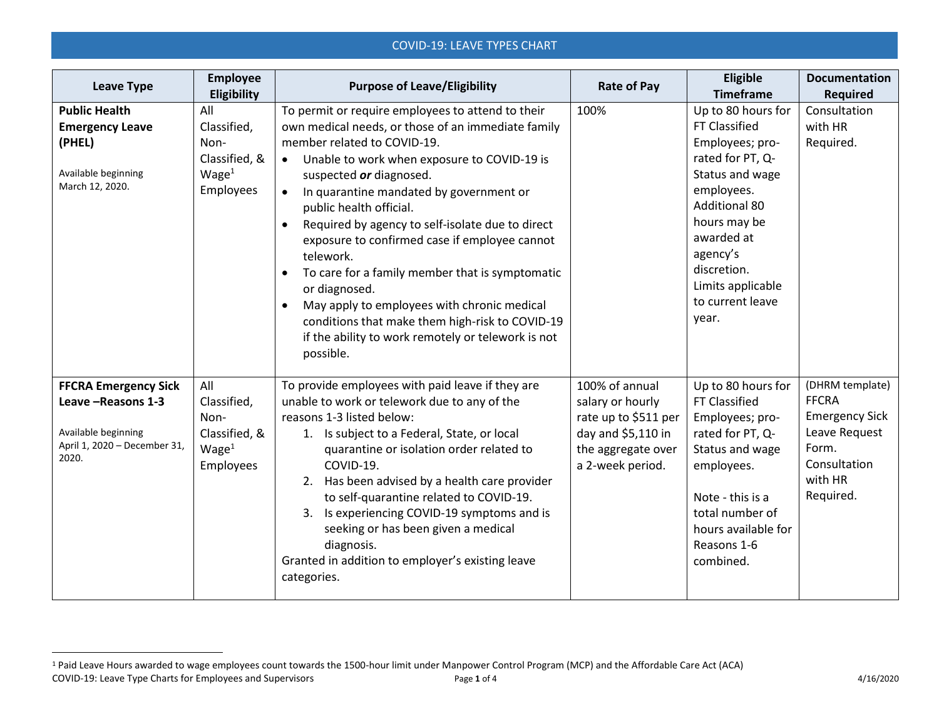## COVID-19: LEAVE TYPES CHART

| <b>Leave Type</b>                                                                                                  | <b>Employee</b><br>Eligibility                                                | <b>Purpose of Leave/Eligibility</b>                                                                                                                                                                                                                                                                                                                                                                                                                                                                                                                                                                                                                                                                   | <b>Rate of Pay</b>                                                                                                         | Eligible<br><b>Timeframe</b>                                                                                                                                                                                                                          | <b>Documentation</b><br><b>Required</b>                                                                                    |
|--------------------------------------------------------------------------------------------------------------------|-------------------------------------------------------------------------------|-------------------------------------------------------------------------------------------------------------------------------------------------------------------------------------------------------------------------------------------------------------------------------------------------------------------------------------------------------------------------------------------------------------------------------------------------------------------------------------------------------------------------------------------------------------------------------------------------------------------------------------------------------------------------------------------------------|----------------------------------------------------------------------------------------------------------------------------|-------------------------------------------------------------------------------------------------------------------------------------------------------------------------------------------------------------------------------------------------------|----------------------------------------------------------------------------------------------------------------------------|
| <b>Public Health</b><br><b>Emergency Leave</b><br>(PHEL)<br>Available beginning<br>March 12, 2020.                 | All<br>Classified,<br>Non-<br>Classified, &<br>Wage <sup>1</sup><br>Employees | To permit or require employees to attend to their<br>own medical needs, or those of an immediate family<br>member related to COVID-19.<br>Unable to work when exposure to COVID-19 is<br>$\bullet$<br>suspected or diagnosed.<br>In quarantine mandated by government or<br>$\bullet$<br>public health official.<br>Required by agency to self-isolate due to direct<br>$\bullet$<br>exposure to confirmed case if employee cannot<br>telework.<br>To care for a family member that is symptomatic<br>or diagnosed.<br>May apply to employees with chronic medical<br>$\bullet$<br>conditions that make them high-risk to COVID-19<br>if the ability to work remotely or telework is not<br>possible. | 100%                                                                                                                       | Up to 80 hours for<br><b>FT Classified</b><br>Employees; pro-<br>rated for PT, Q-<br>Status and wage<br>employees.<br><b>Additional 80</b><br>hours may be<br>awarded at<br>agency's<br>discretion.<br>Limits applicable<br>to current leave<br>year. | Consultation<br>with HR<br>Required.                                                                                       |
| <b>FFCRA Emergency Sick</b><br>Leave - Reasons 1-3<br>Available beginning<br>April 1, 2020 - December 31,<br>2020. | All<br>Classified,<br>Non-<br>Classified, &<br>Wage <sup>1</sup><br>Employees | To provide employees with paid leave if they are<br>unable to work or telework due to any of the<br>reasons 1-3 listed below:<br>1. Is subject to a Federal, State, or local<br>quarantine or isolation order related to<br>COVID-19.<br>2. Has been advised by a health care provider<br>to self-quarantine related to COVID-19.<br>3. Is experiencing COVID-19 symptoms and is<br>seeking or has been given a medical<br>diagnosis.<br>Granted in addition to employer's existing leave<br>categories.                                                                                                                                                                                              | 100% of annual<br>salary or hourly<br>rate up to \$511 per<br>day and \$5,110 in<br>the aggregate over<br>a 2-week period. | Up to 80 hours for<br><b>FT Classified</b><br>Employees; pro-<br>rated for PT, Q-<br>Status and wage<br>employees.<br>Note - this is a<br>total number of<br>hours available for<br>Reasons 1-6<br>combined.                                          | (DHRM template)<br><b>FFCRA</b><br><b>Emergency Sick</b><br>Leave Request<br>Form.<br>Consultation<br>with HR<br>Required. |

 $\overline{a}$ 

COVID-19: Leave Type Charts for Employees and Supervisors Page **1** of 4 4/16/2020 <sup>1</sup> Paid Leave Hours awarded to wage employees count towards the 1500-hour limit under Manpower Control Program (MCP) and the Affordable Care Act (ACA)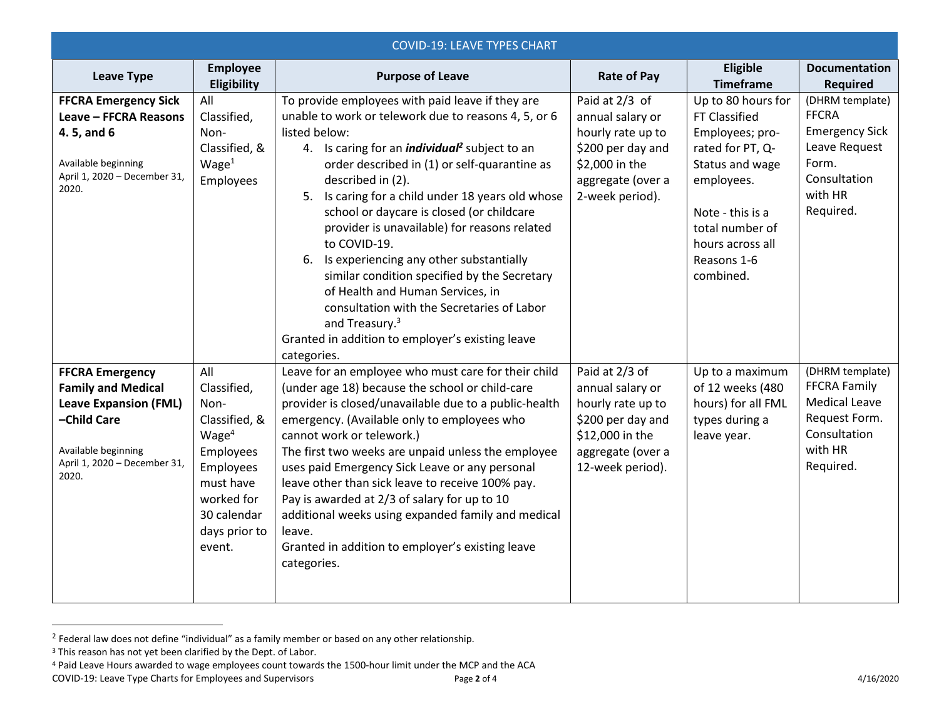| <b>COVID-19: LEAVE TYPES CHART</b>    |                                |                                                                  |                    |                              |                                         |
|---------------------------------------|--------------------------------|------------------------------------------------------------------|--------------------|------------------------------|-----------------------------------------|
| <b>Leave Type</b>                     | <b>Employee</b><br>Eligibility | <b>Purpose of Leave</b>                                          | <b>Rate of Pay</b> | Eligible<br><b>Timeframe</b> | <b>Documentation</b><br><b>Required</b> |
| <b>FFCRA Emergency Sick</b>           | All                            | To provide employees with paid leave if they are                 | Paid at 2/3 of     | Up to 80 hours for           | (DHRM template)                         |
| Leave - FFCRA Reasons                 | Classified,                    | unable to work or telework due to reasons 4, 5, or 6             | annual salary or   | FT Classified                | <b>FFCRA</b>                            |
| 4.5, and 6                            | Non-                           | listed below:                                                    | hourly rate up to  | Employees; pro-              | <b>Emergency Sick</b>                   |
|                                       | Classified, &                  | 4. Is caring for an <i>individual</i> <sup>2</sup> subject to an | \$200 per day and  | rated for PT, Q-             | Leave Request                           |
| Available beginning                   | Wage <sup>1</sup>              | order described in (1) or self-quarantine as                     | \$2,000 in the     | Status and wage              | Form.                                   |
| April 1, 2020 - December 31,          | Employees                      | described in (2).                                                | aggregate (over a  | employees.                   | Consultation                            |
| 2020.                                 |                                | 5. Is caring for a child under 18 years old whose                | 2-week period).    |                              | with HR                                 |
|                                       |                                | school or daycare is closed (or childcare                        |                    | Note - this is a             | Required.                               |
|                                       |                                | provider is unavailable) for reasons related                     |                    | total number of              |                                         |
|                                       |                                | to COVID-19.                                                     |                    | hours across all             |                                         |
|                                       |                                | 6. Is experiencing any other substantially                       |                    | Reasons 1-6                  |                                         |
|                                       |                                | similar condition specified by the Secretary                     |                    | combined.                    |                                         |
|                                       |                                | of Health and Human Services, in                                 |                    |                              |                                         |
|                                       |                                | consultation with the Secretaries of Labor                       |                    |                              |                                         |
|                                       |                                | and Treasury. <sup>3</sup>                                       |                    |                              |                                         |
|                                       |                                | Granted in addition to employer's existing leave                 |                    |                              |                                         |
|                                       |                                | categories.                                                      |                    |                              |                                         |
| <b>FFCRA Emergency</b>                | All                            | Leave for an employee who must care for their child              | Paid at 2/3 of     | Up to a maximum              | (DHRM template)                         |
| <b>Family and Medical</b>             | Classified,                    | (under age 18) because the school or child-care                  | annual salary or   | of 12 weeks (480             | <b>FFCRA Family</b>                     |
| <b>Leave Expansion (FML)</b>          | Non-                           | provider is closed/unavailable due to a public-health            | hourly rate up to  | hours) for all FML           | <b>Medical Leave</b>                    |
| -Child Care                           | Classified, &                  | emergency. (Available only to employees who                      | \$200 per day and  | types during a               | Request Form.                           |
|                                       | Wage <sup>4</sup>              | cannot work or telework.)                                        | \$12,000 in the    | leave year.                  | Consultation                            |
| Available beginning                   | Employees                      | The first two weeks are unpaid unless the employee               | aggregate (over a  |                              | with HR                                 |
| April 1, 2020 - December 31,<br>2020. | Employees                      | uses paid Emergency Sick Leave or any personal                   | 12-week period).   |                              | Required.                               |
|                                       | must have                      | leave other than sick leave to receive 100% pay.                 |                    |                              |                                         |
|                                       | worked for                     | Pay is awarded at 2/3 of salary for up to 10                     |                    |                              |                                         |
|                                       | 30 calendar                    | additional weeks using expanded family and medical               |                    |                              |                                         |
|                                       | days prior to                  | leave.                                                           |                    |                              |                                         |
|                                       | event.                         | Granted in addition to employer's existing leave                 |                    |                              |                                         |
|                                       |                                | categories.                                                      |                    |                              |                                         |
|                                       |                                |                                                                  |                    |                              |                                         |
|                                       |                                |                                                                  |                    |                              |                                         |

 $2$  Federal law does not define "individual" as a family member or based on any other relationship.

 $\overline{a}$ 

<sup>&</sup>lt;sup>3</sup> This reason has not yet been clarified by the Dept. of Labor.

COVID-19: Leave Type Charts for Employees and Supervisors Page **2** of 4 4/16/2020 <sup>4</sup> Paid Leave Hours awarded to wage employees count towards the 1500-hour limit under the MCP and the ACA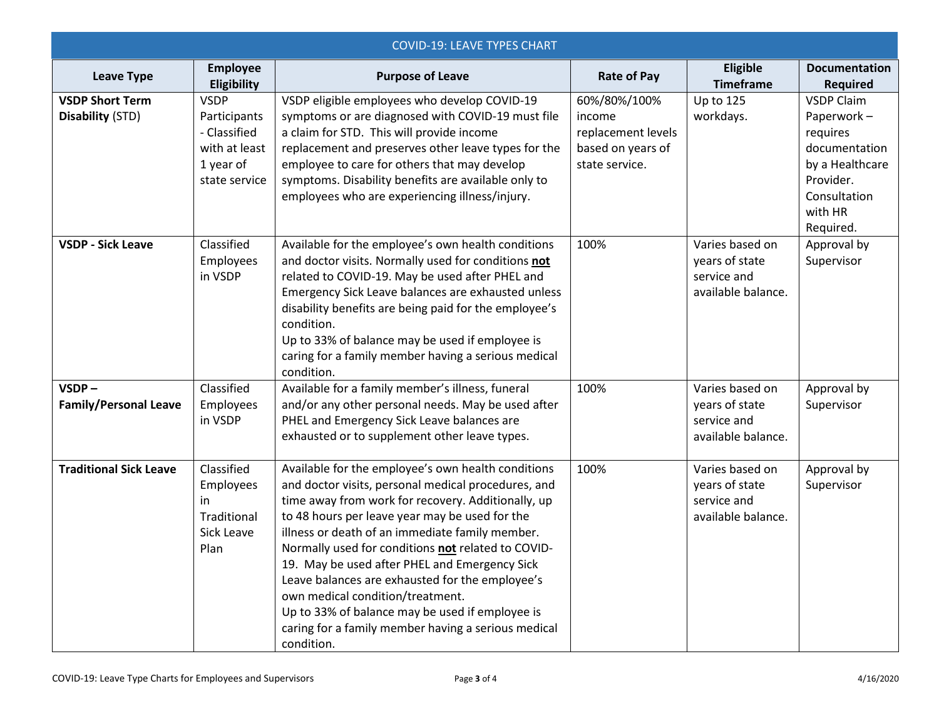| <b>COVID-19: LEAVE TYPES CHART</b>         |                                                                                            |                                                                                                                                                                                                                                                                                                                                                                                                                                                                                                                                                                                            |                                                                                     |                                                                        |                                                                                                                                      |  |
|--------------------------------------------|--------------------------------------------------------------------------------------------|--------------------------------------------------------------------------------------------------------------------------------------------------------------------------------------------------------------------------------------------------------------------------------------------------------------------------------------------------------------------------------------------------------------------------------------------------------------------------------------------------------------------------------------------------------------------------------------------|-------------------------------------------------------------------------------------|------------------------------------------------------------------------|--------------------------------------------------------------------------------------------------------------------------------------|--|
| <b>Leave Type</b>                          | <b>Employee</b><br>Eligibility                                                             | <b>Purpose of Leave</b>                                                                                                                                                                                                                                                                                                                                                                                                                                                                                                                                                                    | <b>Rate of Pay</b>                                                                  | Eligible<br><b>Timeframe</b>                                           | <b>Documentation</b><br><b>Required</b>                                                                                              |  |
| <b>VSDP Short Term</b><br>Disability (STD) | <b>VSDP</b><br>Participants<br>- Classified<br>with at least<br>1 year of<br>state service | VSDP eligible employees who develop COVID-19<br>symptoms or are diagnosed with COVID-19 must file<br>a claim for STD. This will provide income<br>replacement and preserves other leave types for the<br>employee to care for others that may develop<br>symptoms. Disability benefits are available only to<br>employees who are experiencing illness/injury.                                                                                                                                                                                                                             | 60%/80%/100%<br>income<br>replacement levels<br>based on years of<br>state service. | <b>Up to 125</b><br>workdays.                                          | <b>VSDP Claim</b><br>Paperwork-<br>requires<br>documentation<br>by a Healthcare<br>Provider.<br>Consultation<br>with HR<br>Required. |  |
| <b>VSDP - Sick Leave</b>                   | Classified<br>Employees<br>in VSDP                                                         | Available for the employee's own health conditions<br>and doctor visits. Normally used for conditions not<br>related to COVID-19. May be used after PHEL and<br>Emergency Sick Leave balances are exhausted unless<br>disability benefits are being paid for the employee's<br>condition.<br>Up to 33% of balance may be used if employee is<br>caring for a family member having a serious medical<br>condition.                                                                                                                                                                          | 100%                                                                                | Varies based on<br>years of state<br>service and<br>available balance. | Approval by<br>Supervisor                                                                                                            |  |
| $VSDP -$<br><b>Family/Personal Leave</b>   | Classified<br>Employees<br>in VSDP                                                         | Available for a family member's illness, funeral<br>and/or any other personal needs. May be used after<br>PHEL and Emergency Sick Leave balances are<br>exhausted or to supplement other leave types.                                                                                                                                                                                                                                                                                                                                                                                      | 100%                                                                                | Varies based on<br>years of state<br>service and<br>available balance. | Approval by<br>Supervisor                                                                                                            |  |
| <b>Traditional Sick Leave</b>              | Classified<br>Employees<br>in<br>Traditional<br>Sick Leave<br>Plan                         | Available for the employee's own health conditions<br>and doctor visits, personal medical procedures, and<br>time away from work for recovery. Additionally, up<br>to 48 hours per leave year may be used for the<br>illness or death of an immediate family member.<br>Normally used for conditions not related to COVID-<br>19. May be used after PHEL and Emergency Sick<br>Leave balances are exhausted for the employee's<br>own medical condition/treatment.<br>Up to 33% of balance may be used if employee is<br>caring for a family member having a serious medical<br>condition. | 100%                                                                                | Varies based on<br>years of state<br>service and<br>available balance. | Approval by<br>Supervisor                                                                                                            |  |